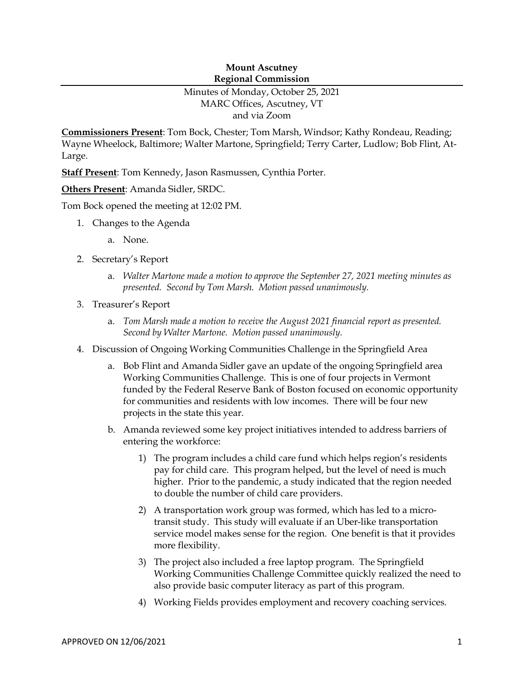## **Mount Ascutney Regional Commission**

## Minutes of Monday, October 25, 2021 MARC Offices, Ascutney, VT and via Zoom

**Commissioners Present**: Tom Bock, Chester; Tom Marsh, Windsor; Kathy Rondeau, Reading; Wayne Wheelock, Baltimore; Walter Martone, Springfield; Terry Carter, Ludlow; Bob Flint, At-Large.

**Staff Present**: Tom Kennedy, Jason Rasmussen, Cynthia Porter.

**Others Present**: Amanda Sidler, SRDC.

Tom Bock opened the meeting at 12:02 PM.

- 1. Changes to the Agenda
	- a. None.
- 2. Secretary's Report
	- a. *Walter Martone made a motion to approve the September 27, 2021 meeting minutes as presented. Second by Tom Marsh. Motion passed unanimously.*
- 3. Treasurer's Report
	- a. *Tom Marsh made a motion to receive the August 2021 financial report as presented. Second by Walter Martone. Motion passed unanimously.*
- 4. Discussion of Ongoing Working Communities Challenge in the Springfield Area
	- a. Bob Flint and Amanda Sidler gave an update of the ongoing Springfield area Working Communities Challenge. This is one of four projects in Vermont funded by the Federal Reserve Bank of Boston focused on economic opportunity for communities and residents with low incomes. There will be four new projects in the state this year.
	- b. Amanda reviewed some key project initiatives intended to address barriers of entering the workforce:
		- 1) The program includes a child care fund which helps region's residents pay for child care. This program helped, but the level of need is much higher. Prior to the pandemic, a study indicated that the region needed to double the number of child care providers.
		- 2) A transportation work group was formed, which has led to a microtransit study. This study will evaluate if an Uber-like transportation service model makes sense for the region. One benefit is that it provides more flexibility.
		- 3) The project also included a free laptop program. The Springfield Working Communities Challenge Committee quickly realized the need to also provide basic computer literacy as part of this program.
		- 4) Working Fields provides employment and recovery coaching services.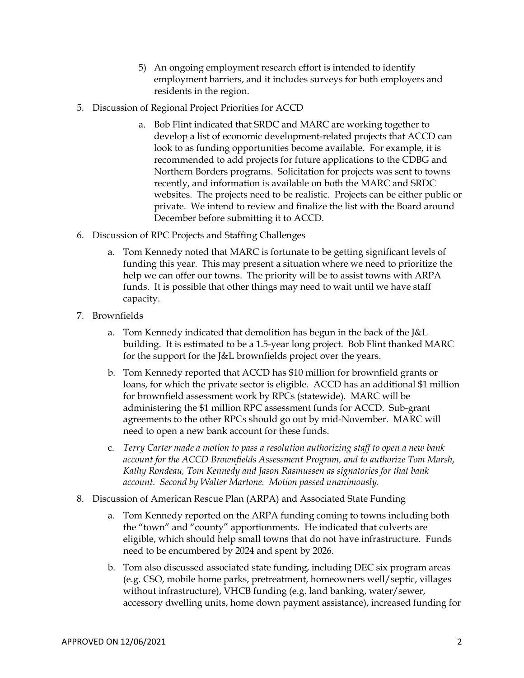- 5) An ongoing employment research effort is intended to identify employment barriers, and it includes surveys for both employers and residents in the region.
- 5. Discussion of Regional Project Priorities for ACCD
	- a. Bob Flint indicated that SRDC and MARC are working together to develop a list of economic development-related projects that ACCD can look to as funding opportunities become available. For example, it is recommended to add projects for future applications to the CDBG and Northern Borders programs. Solicitation for projects was sent to towns recently, and information is available on both the MARC and SRDC websites. The projects need to be realistic. Projects can be either public or private. We intend to review and finalize the list with the Board around December before submitting it to ACCD.
- 6. Discussion of RPC Projects and Staffing Challenges
	- a. Tom Kennedy noted that MARC is fortunate to be getting significant levels of funding this year. This may present a situation where we need to prioritize the help we can offer our towns. The priority will be to assist towns with ARPA funds. It is possible that other things may need to wait until we have staff capacity.
- 7. Brownfields
	- a. Tom Kennedy indicated that demolition has begun in the back of the J&L building. It is estimated to be a 1.5-year long project. Bob Flint thanked MARC for the support for the J&L brownfields project over the years.
	- b. Tom Kennedy reported that ACCD has \$10 million for brownfield grants or loans, for which the private sector is eligible. ACCD has an additional \$1 million for brownfield assessment work by RPCs (statewide). MARC will be administering the \$1 million RPC assessment funds for ACCD. Sub-grant agreements to the other RPCs should go out by mid-November. MARC will need to open a new bank account for these funds.
	- c. *Terry Carter made a motion to pass a resolution authorizing staff to open a new bank account for the ACCD Brownfields Assessment Program, and to authorize Tom Marsh, Kathy Rondeau, Tom Kennedy and Jason Rasmussen as signatories for that bank account. Second by Walter Martone. Motion passed unanimously.*
- 8. Discussion of American Rescue Plan (ARPA) and Associated State Funding
	- a. Tom Kennedy reported on the ARPA funding coming to towns including both the "town" and "county" apportionments. He indicated that culverts are eligible, which should help small towns that do not have infrastructure. Funds need to be encumbered by 2024 and spent by 2026.
	- b. Tom also discussed associated state funding, including DEC six program areas (e.g. CSO, mobile home parks, pretreatment, homeowners well/septic, villages without infrastructure), VHCB funding (e.g. land banking, water/sewer, accessory dwelling units, home down payment assistance), increased funding for